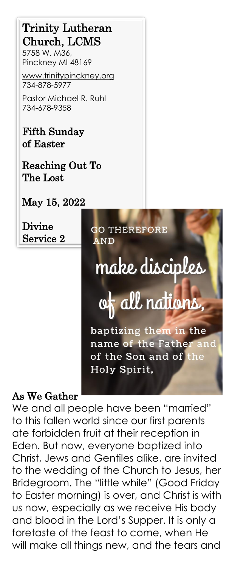# Trinity Lutheran Church, LCMS

5758 W. M36, Pinckney MI 48169

[www.trinitypinckney.org](http://www.trinitypinckney.org/)  734-878-5977

Pastor Michael R. Ruhl 734-678-9358

Fifth Sunday of Easter

Reaching Out To The Lost

May 15, 2022

Divine Service 2

**GO THEREFORE AND** 

# make disciples

# of all nations,

baptizing them in the name of the Father and of the Son and of the Holy Spirit,

#### As We Gather

We and all people have been "married" to this fallen world since our first parents ate forbidden fruit at their reception in Eden. But now, everyone baptized into Christ, Jews and Gentiles alike, are invited to the wedding of the Church to Jesus, her Bridegroom. The "little while" (Good Friday to Easter morning) is over, and Christ is with us now, especially as we receive His body and blood in the Lord's Supper. It is only a foretaste of the feast to come, when He will make all things new, and the tears and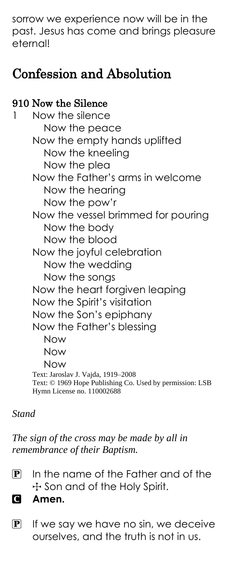sorrow we experience now will be in the past. Jesus has come and brings pleasure eternal!

# Confession and Absolution

### 910 Now the Silence

Now the silence Now the peace Now the empty hands uplifted Now the kneeling Now the plea Now the Father's arms in welcome Now the hearing Now the pow'r Now the vessel brimmed for pouring Now the body Now the blood Now the joyful celebration Now the wedding Now the songs Now the heart forgiven leaping Now the Spirit's visitation Now the Son's epiphany Now the Father's blessing Now Now Now Text: Jaroslav J. Vajda, 1919–2008 Text: © 1969 Hope Publishing Co. Used by permission: LSB Hymn License no. 110002688

#### *Stand*

*The sign of the cross may be made by all in remembrance of their Baptism.*

 $\mathbf{P}$  In the name of the Father and of the + Son and of the Holy Spirit.

C **Amen.**

 $\mathbf{P}$  If we say we have no sin, we deceive ourselves, and the truth is not in us.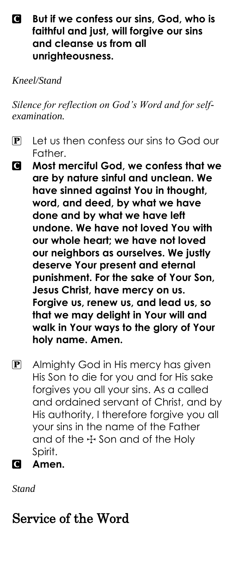#### C **But if we confess our sins, God, who is faithful and just, will forgive our sins and cleanse us from all unrighteousness.**

*Kneel/Stand*

*Silence for reflection on God's Word and for selfexamination.*

- $\mathbf{P}$  Let us then confess our sins to God our Father.
- C **Most merciful God, we confess that we are by nature sinful and unclean. We have sinned against You in thought, word, and deed, by what we have done and by what we have left undone. We have not loved You with our whole heart; we have not loved our neighbors as ourselves. We justly deserve Your present and eternal punishment. For the sake of Your Son, Jesus Christ, have mercy on us. Forgive us, renew us, and lead us, so that we may delight in Your will and walk in Your ways to the glory of Your holy name. Amen.**
- **P** Almighty God in His mercy has given His Son to die for you and for His sake forgives you all your sins. As a called and ordained servant of Christ, and by His authority, I therefore forgive you all your sins in the name of the Father and of the  $+$  Son and of the Holy Spirit.
- C **Amen.**

*Stand*

# Service of the Word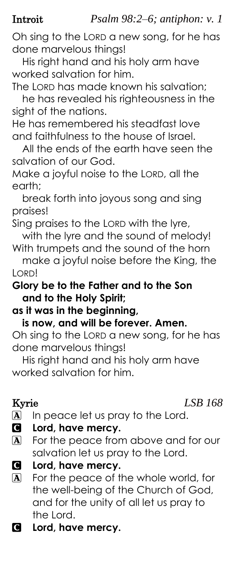Introit *Psalm 98:2–6; antiphon: v. 1*

Oh sing to the LORD a new song, for he has done marvelous things!

His right hand and his holy arm have worked salvation for him.

The LORD has made known his salvation; he has revealed his righteousness in the sight of the nations.

He has remembered his steadfast love and faithfulness to the house of Israel.

All the ends of the earth have seen the salvation of our God.

Make a joyful noise to the LORD, all the earth;

break forth into joyous song and sing praises!

Sing praises to the LORD with the lyre, with the lyre and the sound of melody!

With trumpets and the sound of the horn make a joyful noise before the King, the

LORD!

#### **Glory be to the Father and to the Son and to the Holy Spirit;**

### **as it was in the beginning,**

#### **is now, and will be forever. Amen.**

Oh sing to the LORD a new song, for he has done marvelous things!

His right hand and his holy arm have worked salvation for him.

#### Kyrie *LSB 168*

- A In peace let us pray to the Lord.
- C **Lord, have mercy.**
- A For the peace from above and for our salvation let us pray to the Lord.

```
C Lord, have mercy.
```
- A For the peace of the whole world, for the well-being of the Church of God, and for the unity of all let us pray to the Lord.
- C **Lord, have mercy.**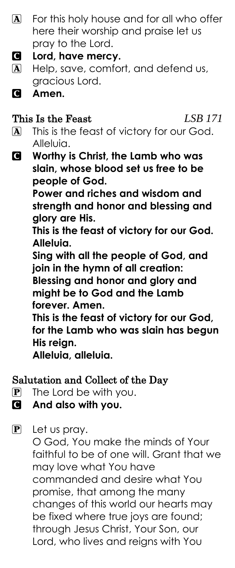- $\mathbf{A}$  For this holy house and for all who offer here their worship and praise let us pray to the Lord.
- C **Lord, have mercy.**
- A Help, save, comfort, and defend us, gracious Lord.
- C **Amen.**

#### This Is the Feast *LSB 171*

- 
- A This is the feast of victory for our God. Alleluia.
- C **Worthy is Christ, the Lamb who was slain, whose blood set us free to be people of God.**

**Power and riches and wisdom and strength and honor and blessing and glory are His.**

**This is the feast of victory for our God. Alleluia.**

**Sing with all the people of God, and join in the hymn of all creation:**

**Blessing and honor and glory and might be to God and the Lamb forever. Amen.**

**This is the feast of victory for our God, for the Lamb who was slain has begun His reign.**

**Alleluia, alleluia.**

## Salutation and Collect of the Day

- $\mathbf{P}$  The Lord be with you.
- C **And also with you.**

P Let us pray.

O God, You make the minds of Your faithful to be of one will. Grant that we may love what You have commanded and desire what You promise, that among the many changes of this world our hearts may be fixed where true joys are found; through Jesus Christ, Your Son, our Lord, who lives and reigns with You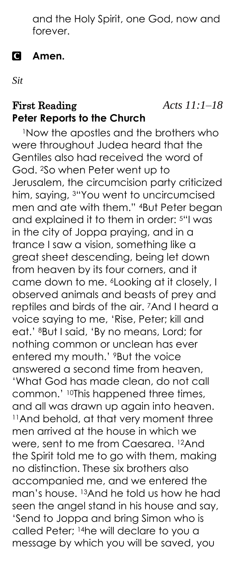and the Holy Spirit, one God, now and forever.

#### C **Amen.**

*Sit*

#### First Reading *Acts 11:1–18* **Peter Reports to the Church**

<sup>1</sup>Now the apostles and the brothers who were throughout Judea heard that the Gentiles also had received the word of God. 2So when Peter went up to Jerusalem, the circumcision party criticized him, saying, 3"You went to uncircumcised men and ate with them." 4But Peter began and explained it to them in order: 5"I was in the city of Joppa praying, and in a trance I saw a vision, something like a great sheet descending, being let down from heaven by its four corners, and it came down to me. <sup>6</sup>Looking at it closely, I observed animals and beasts of prey and reptiles and birds of the air. 7And I heard a voice saying to me, 'Rise, Peter; kill and eat.' 8But I said, 'By no means, Lord; for nothing common or unclean has ever entered my mouth.' <sup>9</sup>But the voice answered a second time from heaven, 'What God has made clean, do not call common.' 10This happened three times, and all was drawn up again into heaven. <sup>11</sup>And behold, at that very moment three men arrived at the house in which we were, sent to me from Caesarea. 12And the Spirit told me to go with them, making no distinction. These six brothers also accompanied me, and we entered the man's house. <sup>13</sup>And he told us how he had seen the angel stand in his house and say, 'Send to Joppa and bring Simon who is called Peter; 14he will declare to you a message by which you will be saved, you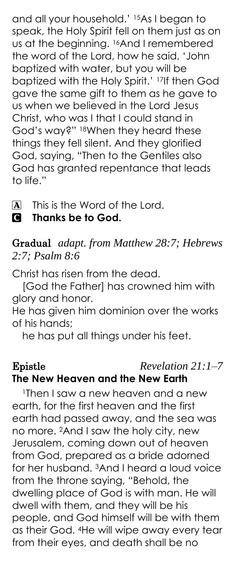and all your household.' 15As I began to speak, the Holy Spirit fell on them just as on us at the beginning. 16And I remembered the word of the Lord, how he said, 'John baptized with water, but you will be baptized with the Holy Spirit.' 17If then God gave the same gift to them as he gave to us when we believed in the Lord Jesus Christ, who was I that I could stand in God's way?" 18When they heard these things they fell silent. And they glorified God, saying, "Then to the Gentiles also God has granted repentance that leads to life."

A This is the Word of the Lord.

### C **Thanks be to God.**

### Gradual *adapt. from Matthew 28:7; Hebrews 2:7; Psalm 8:6*

Christ has risen from the dead.

[God the Father] has crowned him with glory and honor.

He has given him dominion over the works of his hands;

he has put all things under his feet.

## Epistle *Revelation 21:1–7* **The New Heaven and the New Earth**

<sup>1</sup>Then I saw a new heaven and a new earth, for the first heaven and the first earth had passed away, and the sea was no more. 2And I saw the holy city, new Jerusalem, coming down out of heaven from God, prepared as a bride adorned for her husband. 3And I heard a loud voice from the throne saying, "Behold, the dwelling place of God is with man. He will dwell with them, and they will be his people, and God himself will be with them as their God. 4He will wipe away every tear from their eyes, and death shall be no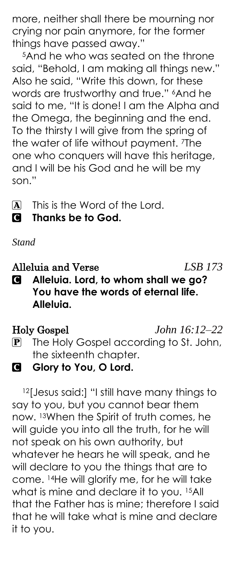more, neither shall there be mourning nor crying nor pain anymore, for the former things have passed away."

<sup>5</sup>And he who was seated on the throne said, "Behold, I am making all things new." Also he said, "Write this down, for these words are trustworthy and true." 6And he said to me, "It is done! I am the Alpha and the Omega, the beginning and the end. To the thirsty I will give from the spring of the water of life without payment. <sup>7</sup>The one who conquers will have this heritage, and I will be his God and he will be my son."

A This is the Word of the Lord.

C **Thanks be to God.**

*Stand*

Alleluia and Verse *LSB 173*

C **Alleluia. Lord, to whom shall we go? You have the words of eternal life. Alleluia.**

Holy Gospel *John 16:12–22* P The Holy Gospel according to St. John, the sixteenth chapter.

**G** Glory to You, O Lord.

12[Jesus said:] "I still have many things to say to you, but you cannot bear them now. <sup>13</sup>When the Spirit of truth comes, he will guide you into all the truth, for he will not speak on his own authority, but whatever he hears he will speak, and he will declare to you the things that are to come. 14He will glorify me, for he will take what is mine and declare it to you. 15All that the Father has is mine; therefore I said that he will take what is mine and declare it to you.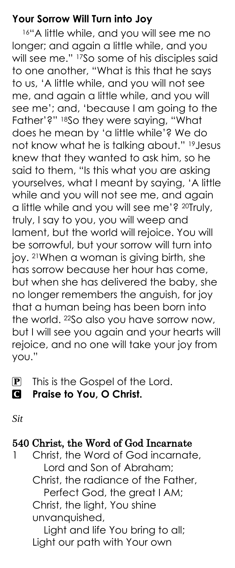#### **Your Sorrow Will Turn into Joy**

16"A little while, and you will see me no longer; and again a little while, and you will see me." 17So some of his disciples said to one another, "What is this that he says to us, 'A little while, and you will not see me, and again a little while, and you will see me'; and, 'because I am going to the Father'?" 18So they were saying, "What does he mean by 'a little while'? We do not know what he is talking about." 19 Jesus knew that they wanted to ask him, so he said to them, "Is this what you are asking yourselves, what I meant by saying, 'A little while and you will not see me, and again a little while and you will see me'? <sup>20</sup>Truly, truly, I say to you, you will weep and lament, but the world will rejoice. You will be sorrowful, but your sorrow will turn into joy. 21When a woman is giving birth, she has sorrow because her hour has come, but when she has delivered the baby, she no longer remembers the anguish, for joy that a human being has been born into the world. <sup>22</sup>So also you have sorrow now, but I will see you again and your hearts will rejoice, and no one will take your joy from you."

- **P** This is the Gospel of the Lord.
- C **Praise to You, O Christ.**

*Sit*

#### 540 Christ, the Word of God Incarnate

1 Christ, the Word of God incarnate, Lord and Son of Abraham; Christ, the radiance of the Father, Perfect God, the great I AM; Christ, the light, You shine unvanquished, Light and life You bring to all; Light our path with Your own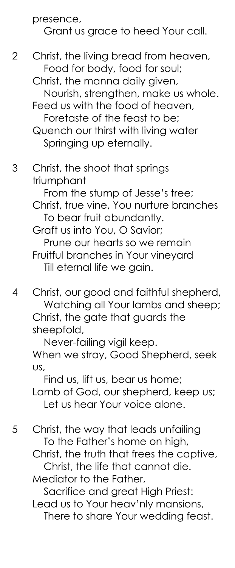#### presence, Grant us grace to heed Your call.

2 Christ, the living bread from heaven, Food for body, food for soul;

Christ, the manna daily given, Nourish, strengthen, make us whole. Feed us with the food of heaven, Foretaste of the feast to be; Quench our thirst with living water

Springing up eternally.

# 3 Christ, the shoot that springs triumphant

 From the stump of Jesse's tree; Christ, true vine, You nurture branches To bear fruit abundantly. Graft us into You, O Savior; Prune our hearts so we remain Fruitful branches in Your vineyard Till eternal life we gain.

4 Christ, our good and faithful shepherd, Watching all Your lambs and sheep; Christ, the gate that guards the sheepfold,

 Never-failing vigil keep. When we stray, Good Shepherd, seek us,

 Find us, lift us, bear us home; Lamb of God, our shepherd, keep us; Let us hear Your voice alone.

5 Christ, the way that leads unfailing To the Father's home on high,

Christ, the truth that frees the captive, Christ, the life that cannot die. Mediator to the Father,

Sacrifice and great High Priest:

Lead us to Your heav'nly mansions, There to share Your wedding feast.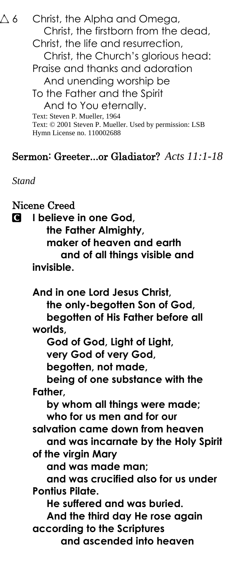$\triangle 6$  Christ, the Alpha and Omega, Christ, the firstborn from the dead, Christ, the life and resurrection, Christ, the Church's glorious head: Praise and thanks and adoration And unending worship be To the Father and the Spirit And to You eternally. Text: Steven P. Mueller, 1964 Text: © 2001 Steven P. Mueller. Used by permission: LSB Hymn License no. 110002688

### Sermon: Greeter...or Gladiator? *Acts 11:1-18*

*Stand*

Nicene Creed C **I believe in one God, the Father Almighty, maker of heaven and earth and of all things visible and invisible. And in one Lord Jesus Christ, the only-begotten Son of God, begotten of His Father before all worlds, God of God, Light of Light, very God of very God, begotten, not made, being of one substance with the Father, by whom all things were made; who for us men and for our salvation came down from heaven and was incarnate by the Holy Spirit of the virgin Mary and was made man; and was crucified also for us under Pontius Pilate. He suffered and was buried. And the third day He rose again according to the Scriptures and ascended into heaven**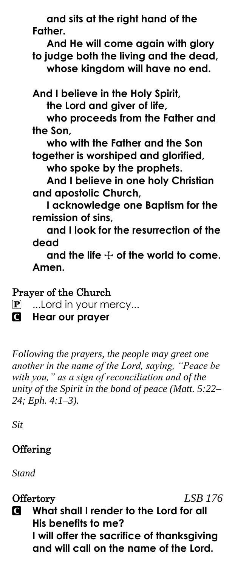**and sits at the right hand of the Father. And He will come again with glory to judge both the living and the dead, whose kingdom will have no end. And I believe in the Holy Spirit, the Lord and giver of life, who proceeds from the Father and the Son, who with the Father and the Son together is worshiped and glorified, who spoke by the prophets. And I believe in one holy Christian and apostolic Church, I acknowledge one Baptism for the remission of sins, and I look for the resurrection of the dead** and the life  $+$  of the world to come. **Amen.**

Prayer of the Church

P ...Lord in your mercy...

C **Hear our prayer**

*Following the prayers, the people may greet one another in the name of the Lord, saying, "Peace be with you," as a sign of reconciliation and of the unity of the Spirit in the bond of peace (Matt. 5:22– 24; Eph. 4:1–3).*

*Sit*

## **Offering**

*Stand*

Offertory *LSB 176*

C **What shall I render to the Lord for all His benefits to me? I will offer the sacrifice of thanksgiving and will call on the name of the Lord.**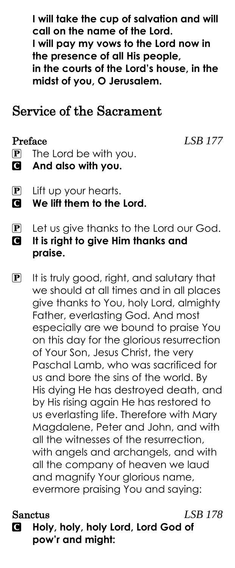**I will take the cup of salvation and will call on the name of the Lord. I will pay my vows to the Lord now in the presence of all His people, in the courts of the Lord's house, in the midst of you, O Jerusalem.**

# Service of the Sacrament

Preface *LSB 177*

- $\mathbf{P}$  The Lord be with you.
- C **And also with you.**
- P Lift up your hearts.
- C **We lift them to the Lord.**
- P Let us give thanks to the Lord our God. C **It is right to give Him thanks and praise.**
- P It is truly good, right, and salutary that we should at all times and in all places give thanks to You, holy Lord, almighty Father, everlasting God. And most especially are we bound to praise You on this day for the glorious resurrection of Your Son, Jesus Christ, the very Paschal Lamb, who was sacrificed for us and bore the sins of the world. By His dying He has destroyed death, and by His rising again He has restored to us everlasting life. Therefore with Mary Magdalene, Peter and John, and with all the witnesses of the resurrection, with angels and archangels, and with all the company of heaven we laud and magnify Your glorious name, evermore praising You and saying:

#### Sanctus *LSB 178*

C **Holy, holy, holy Lord, Lord God of pow'r and might:**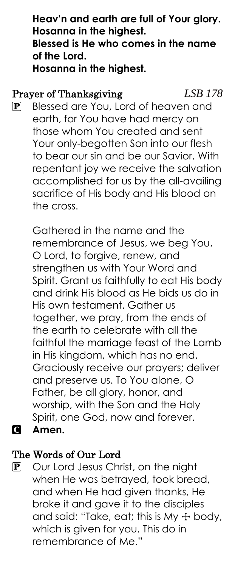**Heav'n and earth are full of Your glory. Hosanna in the highest. Blessed is He who comes in the name of the Lord. Hosanna in the highest.**

#### Prayer of Thanksgiving *LSB 178*

P Blessed are You, Lord of heaven and earth, for You have had mercy on those whom You created and sent Your only-begotten Son into our flesh to bear our sin and be our Savior. With repentant joy we receive the salvation accomplished for us by the all-availing sacrifice of His body and His blood on the cross.

Gathered in the name and the remembrance of Jesus, we beg You, O Lord, to forgive, renew, and strengthen us with Your Word and Spirit. Grant us faithfully to eat His body and drink His blood as He bids us do in His own testament. Gather us together, we pray, from the ends of the earth to celebrate with all the faithful the marriage feast of the Lamb in His kingdom, which has no end. Graciously receive our prayers; deliver and preserve us. To You alone, O Father, be all glory, honor, and worship, with the Son and the Holy Spirit, one God, now and forever. C **Amen.**

- The Words of Our Lord
- P Our Lord Jesus Christ, on the night when He was betrayed, took bread, and when He had given thanks, He broke it and gave it to the disciples and said: "Take, eat; this is My  $+$  body, which is given for you. This do in remembrance of Me."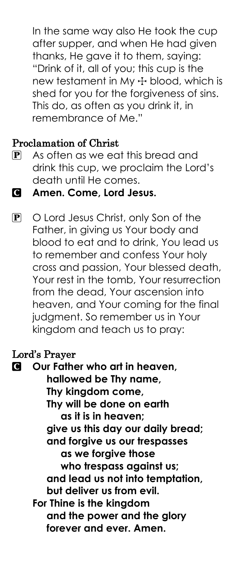In the same way also He took the cup after supper, and when He had given thanks, He gave it to them, saying: "Drink of it, all of you; this cup is the new testament in My  $+$  blood, which is shed for you for the forgiveness of sins. This do, as often as you drink it, in remembrance of Me."

#### Proclamation of Christ

- P As often as we eat this bread and drink this cup, we proclaim the Lord's death until He comes.
- C **Amen. Come, Lord Jesus.**
- P O Lord Jesus Christ, only Son of the Father, in giving us Your body and blood to eat and to drink, You lead us to remember and confess Your holy cross and passion, Your blessed death, Your rest in the tomb, Your resurrection from the dead, Your ascension into heaven, and Your coming for the final judgment. So remember us in Your kingdom and teach us to pray:

#### Lord's Prayer

C **Our Father who art in heaven, hallowed be Thy name, Thy kingdom come, Thy will be done on earth as it is in heaven; give us this day our daily bread; and forgive us our trespasses as we forgive those who trespass against us; and lead us not into temptation, but deliver us from evil. For Thine is the kingdom and the power and the glory forever and ever. Amen.**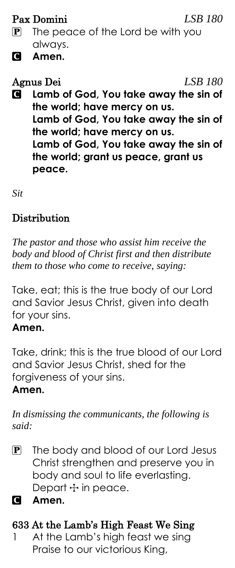Pax Domini *LSB 180*

- $\mathbf{P}$  The peace of the Lord be with you always.
- C **Amen.**

Agnus Dei *LSB 180*

C **Lamb of God, You take away the sin of the world; have mercy on us. Lamb of God, You take away the sin of the world; have mercy on us. Lamb of God, You take away the sin of the world; grant us peace, grant us peace.**

*Sit*

# **Distribution**

*The pastor and those who assist him receive the body and blood of Christ first and then distribute them to those who come to receive, saying:*

Take, eat; this is the true body of our Lord and Savior Jesus Christ, given into death for your sins.

#### **Amen.**

Take, drink; this is the true blood of our Lord and Savior Jesus Christ, shed for the forgiveness of your sins. **Amen.**

*In dismissing the communicants, the following is said:*

P The body and blood of our Lord Jesus Christ strengthen and preserve you in body and soul to life everlasting. Depart  $\pm$  in peace.

C **Amen.**

# 633 At the Lamb's High Feast We Sing

1 At the Lamb's high feast we sing Praise to our victorious King,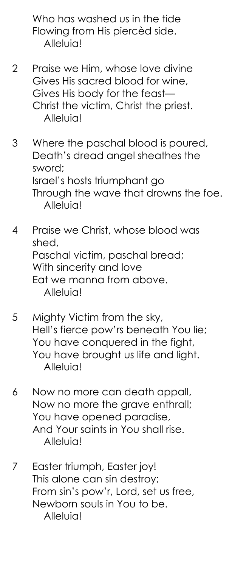Who has washed us in the tide Flowing from His piercèd side. Alleluia!

- 2 Praise we Him, whose love divine Gives His sacred blood for wine, Gives His body for the feast— Christ the victim, Christ the priest. Alleluia!
- 3 Where the paschal blood is poured, Death's dread angel sheathes the sword; Israel's hosts triumphant go Through the wave that drowns the foe. Alleluia!
- 4 Praise we Christ, whose blood was shed, Paschal victim, paschal bread; With sincerity and love Eat we manna from above. Alleluia!
- 5 Mighty Victim from the sky, Hell's fierce pow'rs beneath You lie; You have conquered in the fight, You have brought us life and light. Alleluia!
- 6 Now no more can death appall, Now no more the grave enthrall; You have opened paradise, And Your saints in You shall rise. Alleluia!
- 7 Easter triumph, Easter joy! This alone can sin destroy; From sin's pow'r, Lord, set us free, Newborn souls in You to be. Alleluia!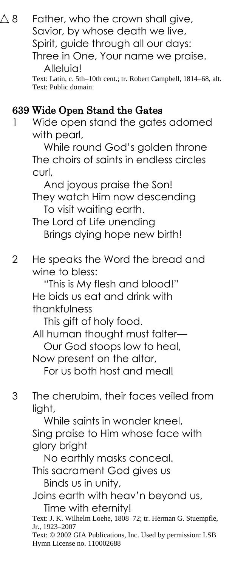|                | Savior, by whose death we live,<br>Spirit, guide through all our days:<br>Three in One, Your name we praise.<br>Alleluia!<br>Text: Latin, c. 5th-10th cent.; tr. Robert Campbell, 1814–68, alt.<br>Text: Public domain                                                                                                                                                                                                                                               |
|----------------|----------------------------------------------------------------------------------------------------------------------------------------------------------------------------------------------------------------------------------------------------------------------------------------------------------------------------------------------------------------------------------------------------------------------------------------------------------------------|
| $\overline{1}$ | 639 Wide Open Stand the Gates<br>Wide open stand the gates adorned<br>with pearl,<br>While round God's golden throne<br>The choirs of saints in endless circles<br>curl,<br>And joyous praise the Son!<br>They watch Him now descending<br>To visit waiting earth.<br>The Lord of Life unending<br>Brings dying hope new birth!                                                                                                                                      |
| $\overline{2}$ | He speaks the Word the bread and<br>wine to bless:<br>"This is My flesh and blood!"<br>He bids us eat and drink with<br>thankfulness<br>This gift of holy food.<br>All human thought must falter-<br>Our God stoops low to heal,<br>Now present on the altar,<br>For us both host and meal!                                                                                                                                                                          |
| 3              | The cherubim, their faces veiled from<br>light,<br>While saints in wonder kneel,<br>Sing praise to Him whose face with<br>glory bright<br>No earthly masks conceal.<br>This sacrament God gives us<br>Binds us in unity,<br>Joins earth with heav'n beyond us,<br>Time with eternity!<br>Text: J. K. Wilhelm Loehe, 1808–72; tr. Herman G. Stuempfle,<br>Jr., 1923–2007<br>Text: © 2002 GIA Publications, Inc. Used by permission: LSB<br>Hymn License no. 110002688 |

 $\Delta$  8 Father, who the crown shall give,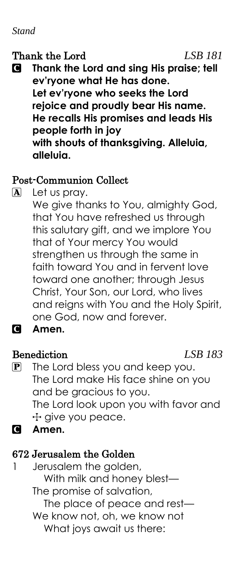#### *Stand*

#### Thank the Lord *LSB 181*

C **Thank the Lord and sing His praise; tell ev'ryone what He has done. Let ev'ryone who seeks the Lord rejoice and proudly bear His name. He recalls His promises and leads His people forth in joy with shouts of thanksgiving. Alleluia, alleluia.**

#### Post-Communion Collect

A Let us pray.

We give thanks to You, almighty God, that You have refreshed us through this salutary gift, and we implore You that of Your mercy You would strengthen us through the same in faith toward You and in fervent love toward one another; through Jesus Christ, Your Son, our Lord, who lives and reigns with You and the Holy Spirit, one God, now and forever.

#### C **Amen.**

#### Benediction *LSB 183*

- P The Lord bless you and keep you. The Lord make His face shine on you and be gracious to you. The Lord look upon you with favor and + give you peace.
- C **Amen.**

# 672 Jerusalem the Golden

- 1 Jerusalem the golden, With milk and honey blest— The promise of salvation, The place of peace and rest— We know not, oh, we know not
	- What joys await us there: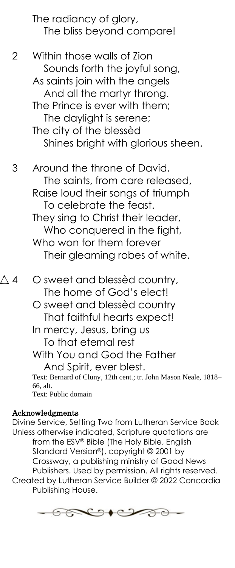The radiancy of glory, The bliss beyond compare!

2 Within those walls of Zion Sounds forth the joyful song, As saints join with the angels And all the martyr throng. The Prince is ever with them; The daylight is serene; The city of the blessèd Shines bright with glorious sheen.

3 Around the throne of David, The saints, from care released, Raise loud their songs of triumph To celebrate the feast. They sing to Christ their leader, Who conquered in the fight, Who won for them forever Their gleaming robes of white.

- $\Delta$  4  $\phantom{0}$  O sweet and blessèd country, The home of God's elect!
	- O sweet and blessèd country That faithful hearts expect!
	- In mercy, Jesus, bring us To that eternal rest

With You and God the Father And Spirit, ever blest.

Text: Bernard of Cluny, 12th cent.; tr. John Mason Neale, 1818– 66, alt. Text: Public domain

#### Acknowledgments

Divine Service, Setting Two from Lutheran Service Book Unless otherwise indicated, Scripture quotations are from the ESV® Bible (The Holy Bible, English Standard Version®), copyright © 2001 by Crossway, a publishing ministry of Good News Publishers. Used by permission. All rights reserved. Created by Lutheran Service Builder © 2022 Concordia Publishing House.

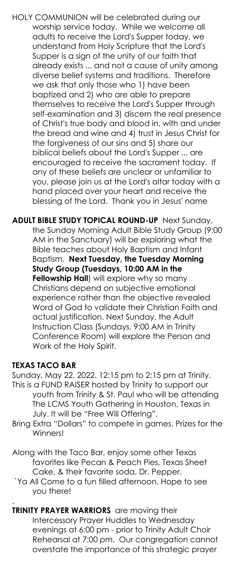HOLY COMMUNION will be celebrated during our worship service today. While we welcome all adults to receive the Lord's Supper today, we understand from Holy Scripture that the Lord's Supper is a sign of the unity of our faith that already exists ... and not a cause of unity among diverse belief systems and traditions. Therefore we ask that only those who 1) have been baptized and 2) who are able to prepare themselves to receive the Lord's Supper through self-examination and 3) discern the real presence of Christ's true body and blood in, with and under the bread and wine and 4) trust in Jesus Christ for the forgiveness of our sins and 5) share our biblical beliefs about the Lord's Supper ... are encouraged to receive the sacrament today. If any of these beliefs are unclear or unfamiliar to you, please join us at the Lord's altar today with a hand placed over your heart and receive the blessing of the Lord. Thank you in Jesus' name

**ADULT BIBLE STUDY TOPICAL ROUND-UP** Next Sunday, the Sunday Morning Adult Bible Study Group (9:00 AM in the Sanctuary) will be exploring what the Bible teaches about Holy Baptism and Infant Baptism. **Next Tuesday, the Tuesday Morning Study Group (Tuesdays, 10:00 AM in the Fellowship Hall**) will explore why so many Christians depend on subjective emotional experience rather than the objective revealed Word of God to validate their Christian Faith and actual justification. Next Sunday, the Adult Instruction Class (Sundays, 9:00 AM in Trinity Conference Room) will explore the Person and Work of the Holy Spirit.

#### **TEXAS TACO BAR**

Sunday, May 22, 2022. 12:15 pm to 2:15 pm at Trinity. This is a FUND RAISER hosted by Trinity to support our youth from Trinity & St. Paul who will be attending The LCMS Youth Gathering in Houston, Texas in July. It will be "Free Will Offering".

Bring Extra "Dollars" to compete in games. Prizes for the Winners!

Along with the Taco Bar, enjoy some other Texas favorites like Pecan & Peach Pies, Texas Sheet Cake, & their favorite soda, Dr. Pepper.

`Ya All Come to a fun filled afternoon. Hope to see you there!

. **TRINITY PRAYER WARRIORS** are moving their Intercessory Prayer Huddles to Wednesday evenings at 6:00 pm - prior to Trinity Adult Choir Rehearsal at 7:00 pm. Our congregation cannot overstate the importance of this strategic prayer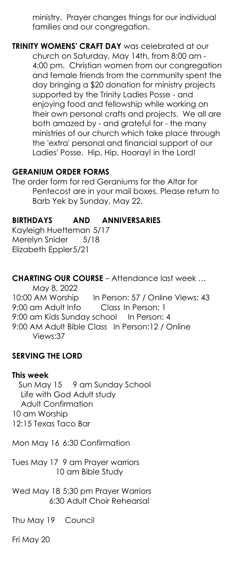ministry. Prayer changes things for our individual families and our congregation.

**TRINITY WOMENS' CRAFT DAY** was celebrated at our church on Saturday, May 14th, from 8:00 am - 4:00 pm. Christian women from our congregation and female friends from the community spent the day bringing a \$20 donation for ministry projects supported by the Trinity Ladies Posse - and enjoying food and fellowship while working on their own personal crafts and projects. We all are both amazed by - and grateful for - the many ministries of our church which take place through the 'extra' personal and financial support of our Ladies' Posse. Hip, Hip, Hooray! in the Lord!

#### **GERANIUM ORDER FORMS**

The order form for red Geraniums for the Altar for Pentecost are in your mail boxes. Please return to Barb Yek by Sunday, May 22.

#### **BIRTHDAYS AND ANNIVERSARIES**

Kayleigh Huetteman 5/17 Merelyn Snider 5/18 Elizabeth Eppler5/21

**CHARTING OUR COURSE** – Attendance last week … May 8, 2022 10:00 AM Worship In Person: 57 / Online Views: 43 9:00 am Adult Info Class In Person: 1 9:00 am Kids Sunday school In Person: 4 9:00 AM Adult Bible Class In Person:12 / Online Views:37

#### **SERVING THE LORD**

#### **This week**

 Sun May 15 9 am Sunday School Life with God Adult study Adult Confirmation 10 am Worship 12:15 Texas Taco Bar

Mon May 16 6:30 Confirmation

Tues May 17 9 am Prayer warriors 10 am Bible Study

Wed May 18 5:30 pm Prayer Warriors 6:30 Adult Choir Rehearsal

Thu May 19 Council

Fri May 20